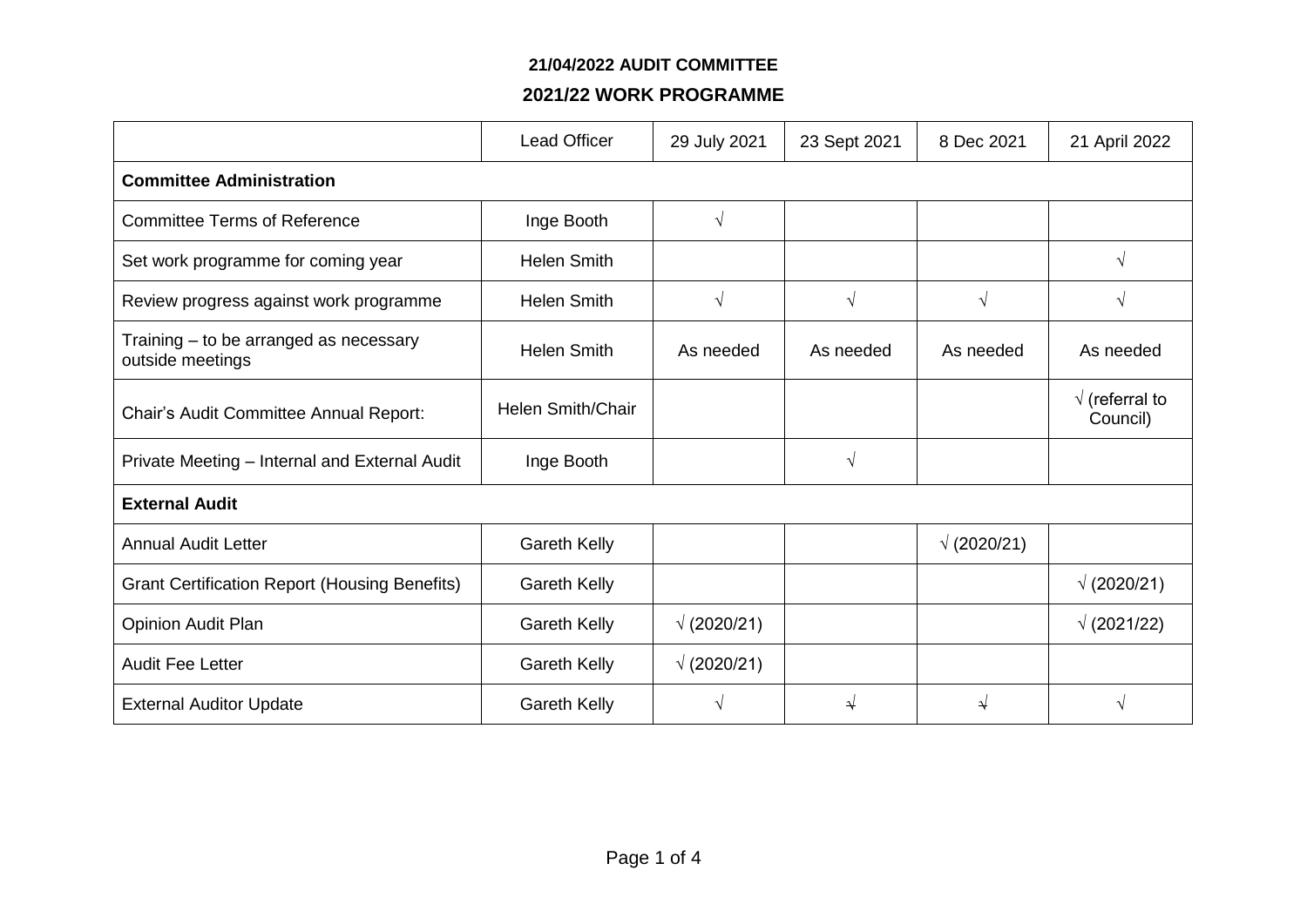#### **21/04/2022 AUDIT COMMITTEE**

## **2021/22 WORK PROGRAMME**

|                                                            | <b>Lead Officer</b> | 29 July 2021       | 23 Sept 2021 | 8 Dec 2021         | 21 April 2022                      |  |
|------------------------------------------------------------|---------------------|--------------------|--------------|--------------------|------------------------------------|--|
| <b>Committee Administration</b>                            |                     |                    |              |                    |                                    |  |
| <b>Committee Terms of Reference</b>                        | Inge Booth          | $\sqrt{ }$         |              |                    |                                    |  |
| Set work programme for coming year                         | <b>Helen Smith</b>  |                    |              |                    | $\sqrt{ }$                         |  |
| Review progress against work programme                     | <b>Helen Smith</b>  | $\sqrt{ }$         | $\sqrt{ }$   | $\sqrt{ }$         | $\sqrt{ }$                         |  |
| Training - to be arranged as necessary<br>outside meetings | <b>Helen Smith</b>  | As needed          | As needed    | As needed          | As needed                          |  |
| Chair's Audit Committee Annual Report:                     | Helen Smith/Chair   |                    |              |                    | $\sqrt{}$ (referral to<br>Council) |  |
| Private Meeting - Internal and External Audit              | Inge Booth          |                    | V            |                    |                                    |  |
| <b>External Audit</b>                                      |                     |                    |              |                    |                                    |  |
| <b>Annual Audit Letter</b>                                 | <b>Gareth Kelly</b> |                    |              | $\sqrt{(2020/21)}$ |                                    |  |
| <b>Grant Certification Report (Housing Benefits)</b>       | <b>Gareth Kelly</b> |                    |              |                    | $\sqrt{(2020/21)}$                 |  |
| <b>Opinion Audit Plan</b>                                  | <b>Gareth Kelly</b> | $\sqrt{(2020/21)}$ |              |                    | $\sqrt{(2021/22)}$                 |  |
| <b>Audit Fee Letter</b>                                    | <b>Gareth Kelly</b> | $\sqrt{(2020/21)}$ |              |                    |                                    |  |
| <b>External Auditor Update</b>                             | <b>Gareth Kelly</b> | V                  | ↵            | ⇃                  | $\sqrt{ }$                         |  |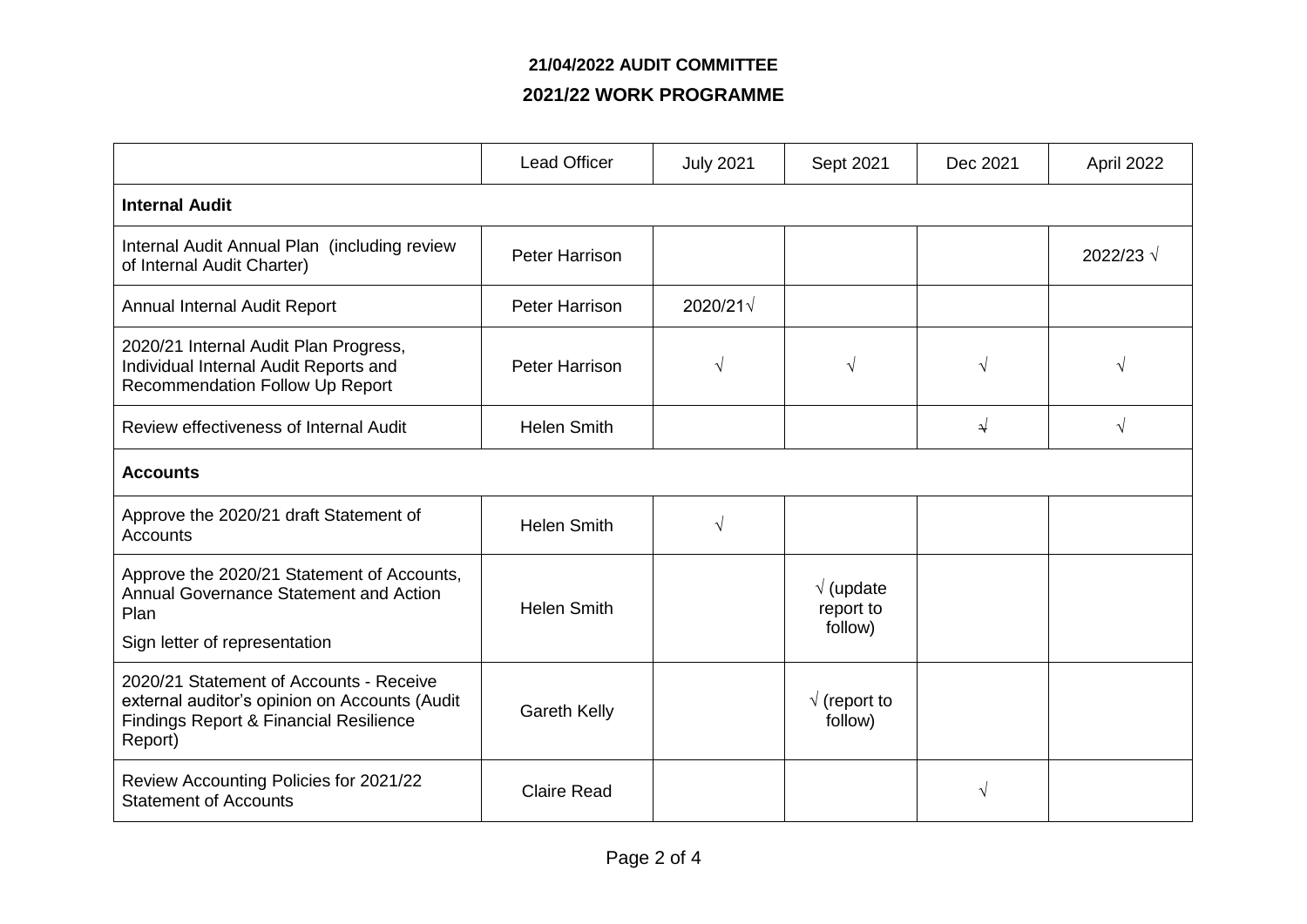## **21/04/2022 AUDIT COMMITTEE**

### **2021/22 WORK PROGRAMME**

|                                                                                                                                                          | <b>Lead Officer</b>   | <b>July 2021</b>  | Sept 2021                                  | Dec 2021   | April 2022 |  |
|----------------------------------------------------------------------------------------------------------------------------------------------------------|-----------------------|-------------------|--------------------------------------------|------------|------------|--|
| <b>Internal Audit</b>                                                                                                                                    |                       |                   |                                            |            |            |  |
| Internal Audit Annual Plan (including review<br>of Internal Audit Charter)                                                                               | <b>Peter Harrison</b> |                   |                                            |            | 2022/23 √  |  |
| Annual Internal Audit Report                                                                                                                             | <b>Peter Harrison</b> | $2020/21\sqrt{ }$ |                                            |            |            |  |
| 2020/21 Internal Audit Plan Progress,<br>Individual Internal Audit Reports and<br>Recommendation Follow Up Report                                        | <b>Peter Harrison</b> | $\sqrt{ }$        | $\sqrt{}$                                  | $\sqrt{ }$ | $\sqrt{ }$ |  |
| Review effectiveness of Internal Audit                                                                                                                   | <b>Helen Smith</b>    |                   |                                            | √          | $\sqrt{ }$ |  |
| <b>Accounts</b>                                                                                                                                          |                       |                   |                                            |            |            |  |
| Approve the 2020/21 draft Statement of<br><b>Accounts</b>                                                                                                | <b>Helen Smith</b>    | $\sqrt{ }$        |                                            |            |            |  |
| Approve the 2020/21 Statement of Accounts,<br><b>Annual Governance Statement and Action</b><br>Plan<br>Sign letter of representation                     | <b>Helen Smith</b>    |                   | $\sqrt{ }$ (update<br>report to<br>follow) |            |            |  |
| 2020/21 Statement of Accounts - Receive<br>external auditor's opinion on Accounts (Audit<br><b>Findings Report &amp; Financial Resilience</b><br>Report) | <b>Gareth Kelly</b>   |                   | $\sqrt{}$ (report to<br>follow)            |            |            |  |
| Review Accounting Policies for 2021/22<br><b>Statement of Accounts</b>                                                                                   | <b>Claire Read</b>    |                   |                                            | V          |            |  |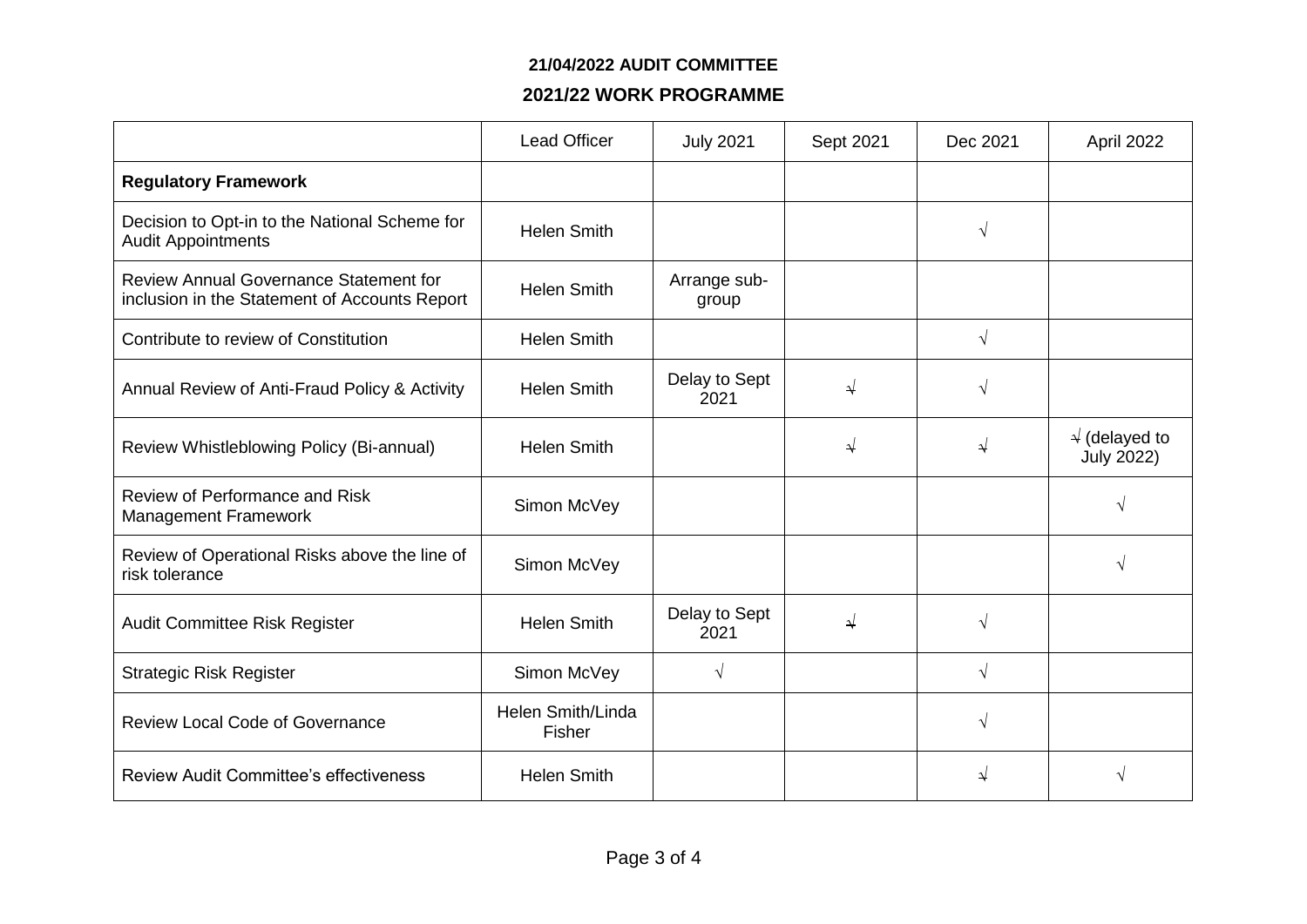#### **21/04/2022 AUDIT COMMITTEE**

## **2021/22 WORK PROGRAMME**

|                                                                                         | <b>Lead Officer</b>         | <b>July 2021</b>      | Sept 2021 | Dec 2021      | April 2022                                  |
|-----------------------------------------------------------------------------------------|-----------------------------|-----------------------|-----------|---------------|---------------------------------------------|
| <b>Regulatory Framework</b>                                                             |                             |                       |           |               |                                             |
| Decision to Opt-in to the National Scheme for<br><b>Audit Appointments</b>              | <b>Helen Smith</b>          |                       |           | $\sqrt{ }$    |                                             |
| Review Annual Governance Statement for<br>inclusion in the Statement of Accounts Report | <b>Helen Smith</b>          | Arrange sub-<br>group |           |               |                                             |
| Contribute to review of Constitution                                                    | <b>Helen Smith</b>          |                       |           | $\sqrt{ }$    |                                             |
| Annual Review of Anti-Fraud Policy & Activity                                           | <b>Helen Smith</b>          | Delay to Sept<br>2021 | ↵         | $\sqrt{ }$    |                                             |
| Review Whistleblowing Policy (Bi-annual)                                                | <b>Helen Smith</b>          |                       | ⇃         | $\rightarrow$ | $\sqrt{ }$ (delayed to<br><b>July 2022)</b> |
| Review of Performance and Risk<br>Management Framework                                  | Simon McVey                 |                       |           |               | V                                           |
| Review of Operational Risks above the line of<br>risk tolerance                         | Simon McVey                 |                       |           |               |                                             |
| Audit Committee Risk Register                                                           | <b>Helen Smith</b>          | Delay to Sept<br>2021 | $\sqrt{}$ | $\sqrt{ }$    |                                             |
| <b>Strategic Risk Register</b>                                                          | Simon McVey                 | $\sqrt{ }$            |           | $\sqrt{ }$    |                                             |
| <b>Review Local Code of Governance</b>                                                  | Helen Smith/Linda<br>Fisher |                       |           | $\sqrt{ }$    |                                             |
| <b>Review Audit Committee's effectiveness</b>                                           | <b>Helen Smith</b>          |                       |           | $\rightarrow$ |                                             |